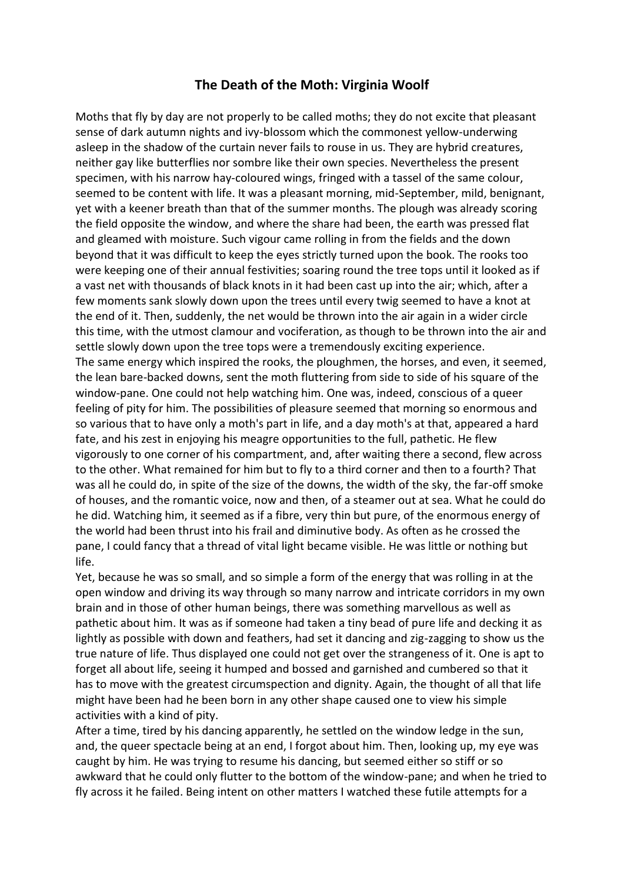## **The Death of the Moth: Virginia Woolf**

Moths that fly by day are not properly to be called moths; they do not excite that pleasant sense of dark autumn nights and ivy-blossom which the commonest yellow-underwing asleep in the shadow of the curtain never fails to rouse in us. They are hybrid creatures, neither gay like butterflies nor sombre like their own species. Nevertheless the present specimen, with his narrow hay-coloured wings, fringed with a tassel of the same colour, seemed to be content with life. It was a pleasant morning, mid-September, mild, benignant, yet with a keener breath than that of the summer months. The plough was already scoring the field opposite the window, and where the share had been, the earth was pressed flat and gleamed with moisture. Such vigour came rolling in from the fields and the down beyond that it was difficult to keep the eyes strictly turned upon the book. The rooks too were keeping one of their annual festivities; soaring round the tree tops until it looked as if a vast net with thousands of black knots in it had been cast up into the air; which, after a few moments sank slowly down upon the trees until every twig seemed to have a knot at the end of it. Then, suddenly, the net would be thrown into the air again in a wider circle this time, with the utmost clamour and vociferation, as though to be thrown into the air and settle slowly down upon the tree tops were a tremendously exciting experience. The same energy which inspired the rooks, the ploughmen, the horses, and even, it seemed, the lean bare-backed downs, sent the moth fluttering from side to side of his square of the window-pane. One could not help watching him. One was, indeed, conscious of a queer feeling of pity for him. The possibilities of pleasure seemed that morning so enormous and so various that to have only a moth's part in life, and a day moth's at that, appeared a hard fate, and his zest in enjoying his meagre opportunities to the full, pathetic. He flew vigorously to one corner of his compartment, and, after waiting there a second, flew across to the other. What remained for him but to fly to a third corner and then to a fourth? That was all he could do, in spite of the size of the downs, the width of the sky, the far-off smoke of houses, and the romantic voice, now and then, of a steamer out at sea. What he could do he did. Watching him, it seemed as if a fibre, very thin but pure, of the enormous energy of the world had been thrust into his frail and diminutive body. As often as he crossed the pane, I could fancy that a thread of vital light became visible. He was little or nothing but life.

Yet, because he was so small, and so simple a form of the energy that was rolling in at the open window and driving its way through so many narrow and intricate corridors in my own brain and in those of other human beings, there was something marvellous as well as pathetic about him. It was as if someone had taken a tiny bead of pure life and decking it as lightly as possible with down and feathers, had set it dancing and zig-zagging to show us the true nature of life. Thus displayed one could not get over the strangeness of it. One is apt to forget all about life, seeing it humped and bossed and garnished and cumbered so that it has to move with the greatest circumspection and dignity. Again, the thought of all that life might have been had he been born in any other shape caused one to view his simple activities with a kind of pity.

After a time, tired by his dancing apparently, he settled on the window ledge in the sun, and, the queer spectacle being at an end, I forgot about him. Then, looking up, my eye was caught by him. He was trying to resume his dancing, but seemed either so stiff or so awkward that he could only flutter to the bottom of the window-pane; and when he tried to fly across it he failed. Being intent on other matters I watched these futile attempts for a